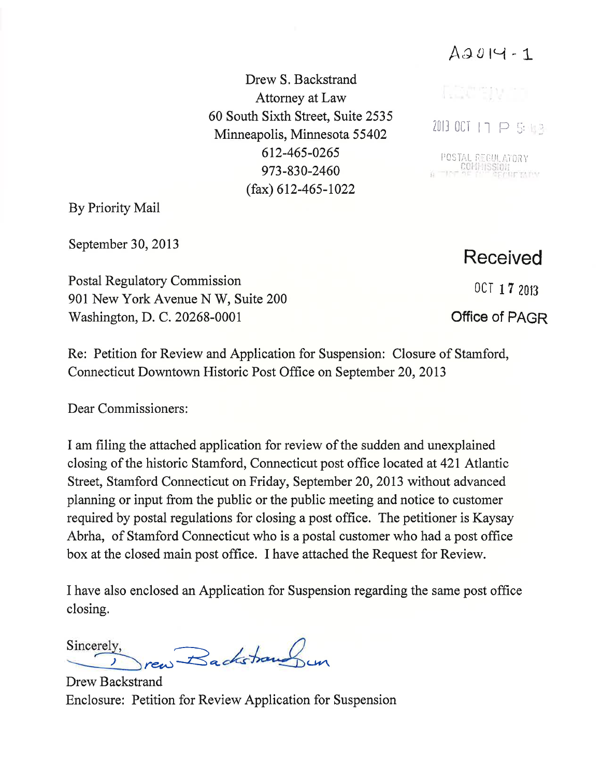$A9014 - 1$ 

Drew S. Backstrand Attorney at Law 60 South Sixth Street, Suite 2535 Minneapolis, Minnesota 55402 612-465-026s 973-830-2460  $(fax)$  612-465-1022

By Priority Mail

September 30, 2013

Postal Regulatory Commission 901 New York Avenue N W, Suite 200 Washington, D. C. 20268-0001

Re: Petition for Review and Application for Suspension: Closure of Stamford, Connecticut Downtown Historic Post Office on September 20,2013

Dear Commissioners:

I am filing the attached application for review of the sudden and unexplained closing of the historic Stamford, Connecticut post office located at 42I Atlantic Street, Stamford Connecticut on Friday, September 20,2013 without advanced planning or input from the public or the public meeting and notice to customer required by postal regulations for closing a post office. The petitioner is Kaysay Abrha, of Stamford Connecticut who is a postal customer who had a post office box at the closed main post office. I have attached the Request for Review.

I have also enclosed an Application for Suspension regarding the same post office closing.

rew Backstraus un Sincerely,

Drew Backstrand Enclosure: Petition for Review Application for Suspension

## Rostn

 $201300117$  P S 63

I,009 POSTAL REGULATORY<br>International Fish

Received

 $OCI$  1  $7$  2013

Office of PAGR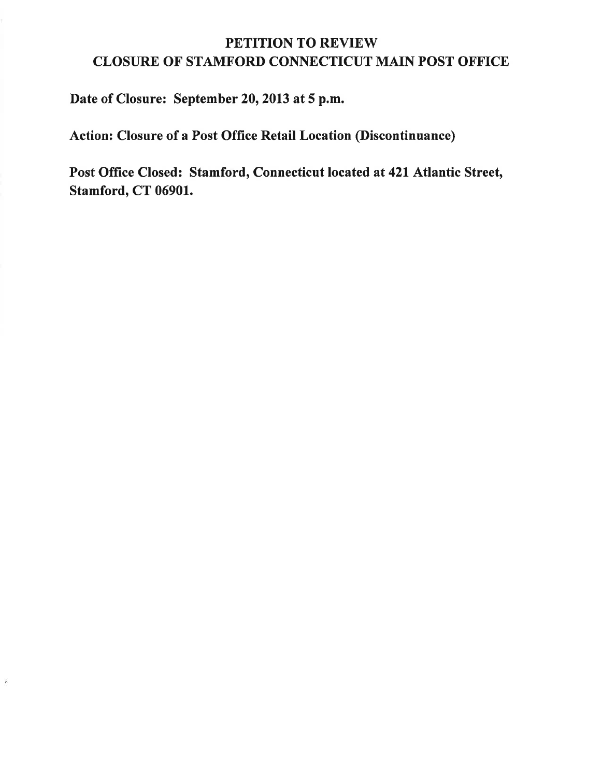## PETITION TO REVIEW CLOSURE OF STAMFORD CONNECTICUT MAIN POST OFFICE

Date of Closure: September 20, 2013 at 5 p.m.

¥

Action: Closure of a Post Office Retail Location (Discontinuance)

Post Office Closed: Stamford, Connecticut located at 421 Atlantic Street, Stamford, CT 06901.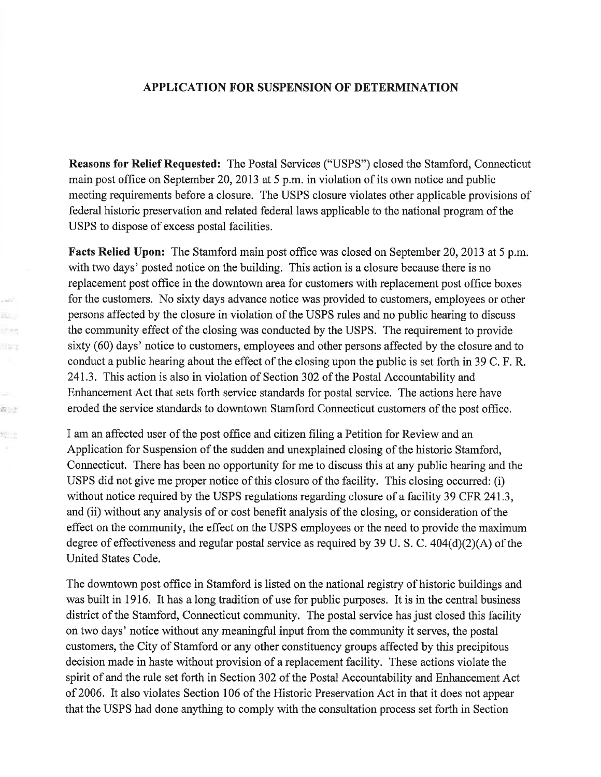## APPLICATION FOR SUSPENSION OF DETERMINATION

Reasons for Relief Requested: The Postal Services ("USPS") closed the Stamford, Connecticut main post office on September 20,2013 at 5 p.m. in violation of its own notice and public meeting requirements before a closure. The USPS closure violates other applicable provisions of federal historic preservation and related federal laws applicable to the national program of the USPS to dispose of excess postal facilities.

Facts Relied Upon: The Stamford main post office was closed on September 20, 2013 at 5 p.m. with two days' posted notice on the building. This action is a closure because there is no replacement post office in the downtown area for customers with replacement post office boxes for the customers. No sixty days advance notice was provided to customers, employees or other persons affected by the closure in violation of the USPS rules and no public hearing to discuss the community effect of the closing was conducted by the USPS. The requirement to provide sixty (60) days' notice to customers, employees and other persons affected by the closure and to conduct a public hearing about the effect of the closing upon the public is set forth in 39 C. F. R. 24L3. This action is also in violation of Section 302 of the Postal Accountability and Enhancement Act that sets forth service standards for postal service. The actions here have eroded the service standards to downtown Stamford Connecticut customers of the post office.

24W B. sters King

抗け

物質

I am an affected user of the post offrce and citizen filing a Petition for Review and an Application for Suspension of the sudden and unexplained closing of the historic Stamford, Connecticut. There has been no opportunity for me to discuss this at any public hearing and the USPS did not give me proper notice of this closure of the facility. This closing occurred: (i) without notice required by the USPS regulations regarding closure of a facility 39 CFR 241.3, and (ii) without any analysis of or cost benefit analysis of the closing, or consideration of the effect on the community, the effect on the USPS employees or the need to provide the maximum degree of effectiveness and regular postal service as required by 39 U. S. C. 404(d)(2)(A) of the United States Code.

The downtown post office in Stamford is listed on the national registry of historic buildings and was built in 1916. It has a long tradition of use for public purposes. It is in the central business district of the Stamford, Connecticut community. The postal service has just closed this facility on two days' notice without any meaningful input from the community it serves, the postal customers, the City of Stamford or any other constituency groups affected by this precipitous decision made in haste without provision of a replacement facility. These actions violate the spirit of and the rule set forth in Section 302 of the Postal Accountability and Enhancement Act of 2006. It also violates Section 106 of the Historic Preservation Act in that it does not appear that the USPS had done anything to comply with the consultation process set forth in Section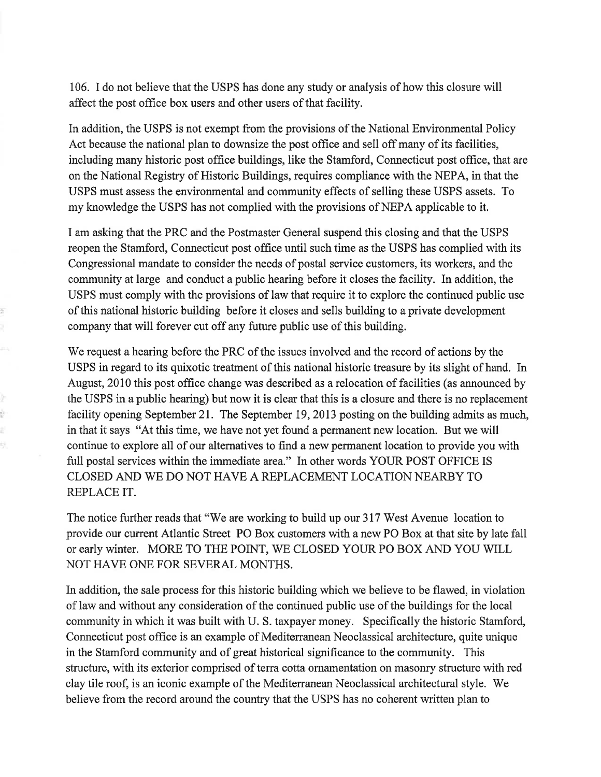106. I do not believe that the USPS has done any study or analysis of how this closure will affect the post office box users and other users of that facility.

In addition, the USPS is not exempt from the provisions of the National Environmental Policy Act because the national plan to downsize the post office and sell off many of its facilities, including many historic post office buildings, like the Stamford, Connecticut post office, that are on the National Registry of Historic Buildings, requires compliance with the NEPA, in that the USPS must assess the environmental and community effects of selling these USPS assets. To my knowledge the USPS has not complied with the provisions of NEPA applicable to it.

I am asking that the PRC and the Postmaster General suspend this closing and that the USPS reopen the Stamford, Connecticut post office until such time as the USPS has complied with its Congressional mandate to consider the needs of postal service customers, its workers, and the community atlarge and conduct a public hearing before it closes the facility. In addition, the USPS must comply with the provisions of law that require it to explore the continued public use of this national historic building before it closes and sells building to a private development company that will forever cut off any future public use of this building.

ž

54

þ ù. ť ij.

We request a hearing before the PRC of the issues involved and the record of actions by the USPS in regard to its quixotic treatment of this national historic treasure by its slight of hand. In August, 2010 this post office change was described as a relocation of facilities (as announced by the USPS in a public hearing) but now it is clear that this is a closure and there is no replacement facility opening September 21. The September 19, 2013 posting on the building admits as much, in that it says "At this time, we have not yet found a permanent new location. But we will continue to explore all of our alternatives to find a new permanent location to provide you with full postal services within the immediate area." In other words YOUR POST OFFICE IS CLOSED AND WE DO NOT HAVE A REPLACEMENT LOCATION NEARBY TO REPLACE IT.

The notice further reads that "We are working to build up our 317 West Avenue location to provide our current Atlantic Street PO Box customers with a new PO Box at that site by late fall or early winter. MORE TO THE POINT, WE CLOSED YOUR PO BOX AND YOU WILL NOT HAVE ONE FOR SEVERAL MONTHS.

In addition, the sale process for this historic building which we believe to be flawed, in violation of law and without any consideration of the continued public use of the buildings for the local community in which it was built with U. S. taxpayer money. Specifically the historic Stamford, Connecticut post office is an example of Mediterranean Neoclassical architecture, quite unique in the Stamford community and of great historical significance to the community. This structure, with its exterior comprised of terra cotta ornamentation on masonry structure with red clay tile roof, is an iconic example of the Mediterranean Neoclassical architectural style. We believe from the record around the country that the USPS has no coherent written plan to